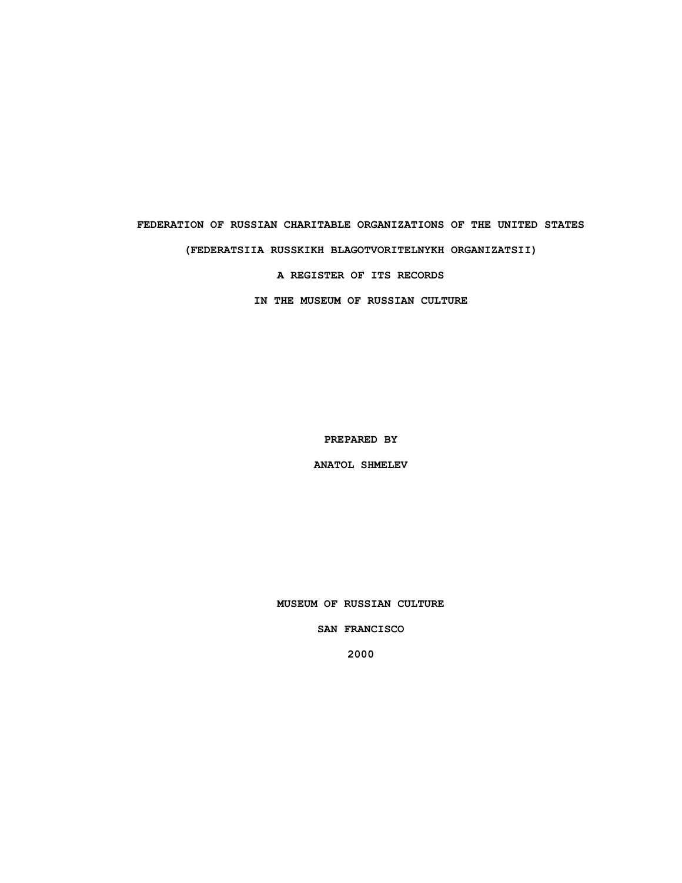# **FEDERATION OF RUSSIAN CHARITABLE ORGANIZATIONS OF THE UNITED STATES (FEDERATSIIA RUSSKIKH BLAGOTVORITELNYKH ORGANIZATSII)**

**A REGISTER OF ITS RECORDS**

**IN THE MUSEUM OF RUSSIAN CULTURE**

**PREPARED BY**

**ANATOL SHMELEV**

**MUSEUM OF RUSSIAN CULTURE**

**SAN FRANCISCO**

**2000**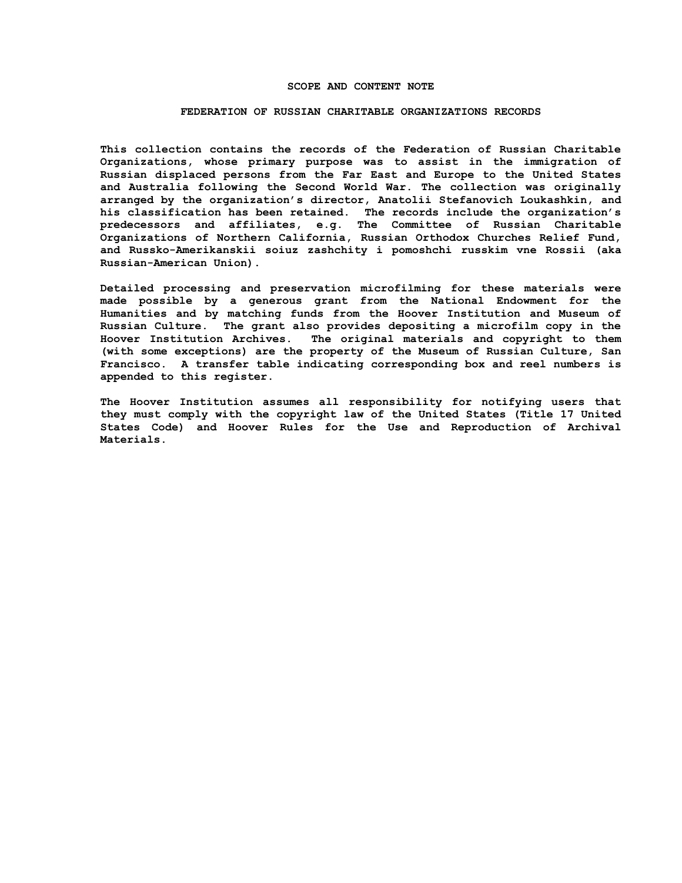#### **SCOPE AND CONTENT NOTE**

#### **FEDERATION OF RUSSIAN CHARITABLE ORGANIZATIONS RECORDS**

**This collection contains the records of the Federation of Russian Charitable Organizations, whose primary purpose was to assist in the immigration of Russian displaced persons from the Far East and Europe to the United States and Australia following the Second World War. The collection was originally arranged by the organization's director, Anatolii Stefanovich Loukashkin, and his classification has been retained. The records include the organization's predecessors and affiliates, e.g. The Committee of Russian Charitable Organizations of Northern California, Russian Orthodox Churches Relief Fund, and Russko-Amerikanskii soiuz zashchity i pomoshchi russkim vne Rossii (aka Russian-American Union).**

**Detailed processing and preservation microfilming for these materials were made possible by a generous grant from the National Endowment for the Humanities and by matching funds from the Hoover Institution and Museum of Russian Culture. The grant also provides depositing a microfilm copy in the Hoover Institution Archives. The original materials and copyright to them (with some exceptions) are the property of the Museum of Russian Culture, San Francisco. A transfer table indicating corresponding box and reel numbers is appended to this register.**

**The Hoover Institution assumes all responsibility for notifying users that they must comply with the copyright law of the United States (Title 17 United States Code) and Hoover Rules for the Use and Reproduction of Archival Materials.**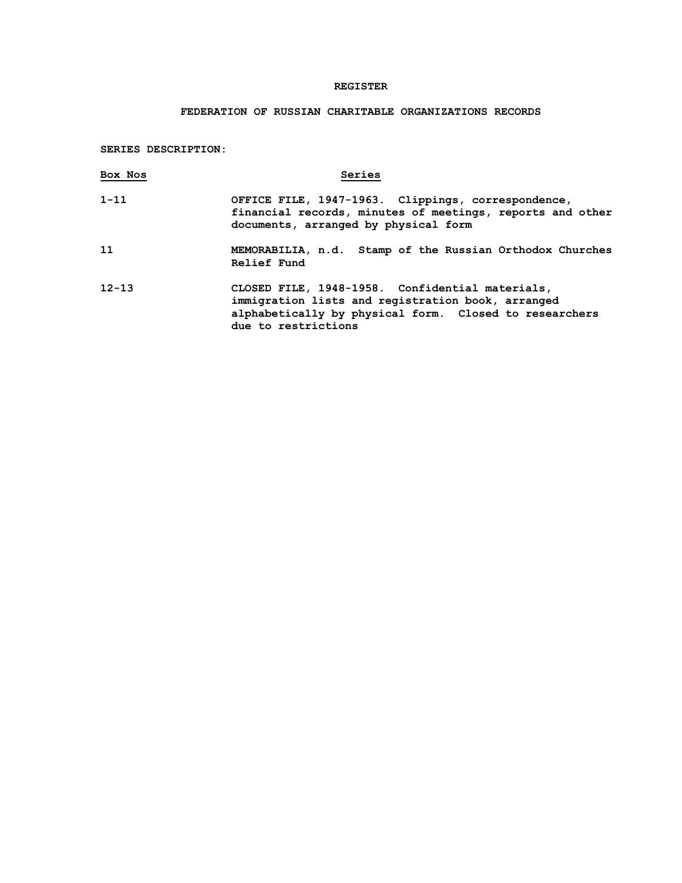### **REGISTER**

## **FEDERATION OF RUSSIAN CHARITABLE ORGANIZATIONS RECORDS**

**SERIES DESCRIPTION:**

| Box Nos   | Series                                                                                                                                                                                |
|-----------|---------------------------------------------------------------------------------------------------------------------------------------------------------------------------------------|
| $1 - 11$  | OFFICE FILE, 1947-1963. Clippings, correspondence,<br>financial records, minutes of meetings, reports and other<br>documents, arranged by physical form                               |
| 11        | MEMORABILIA, n.d. Stamp of the Russian Orthodox Churches<br>Relief Fund                                                                                                               |
| $12 - 13$ | CLOSED FILE, 1948-1958. Confidential materials,<br>immigration lists and registration book, arranged<br>alphabetically by physical form. Closed to researchers<br>due to restrictions |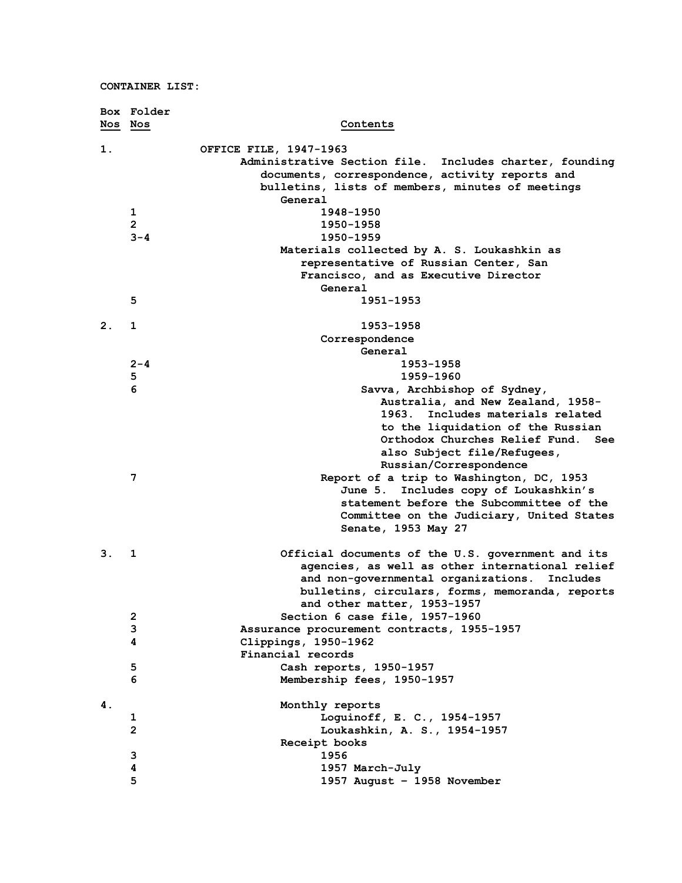|         | Box Folder     |                                                         |
|---------|----------------|---------------------------------------------------------|
| Nos Nos |                | Contents                                                |
| 1.      |                | OFFICE FILE, 1947-1963                                  |
|         |                | Administrative Section file. Includes charter, founding |
|         |                | documents, correspondence, activity reports and         |
|         |                | bulletins, lists of members, minutes of meetings        |
|         |                | General                                                 |
|         | 1              | 1948-1950                                               |
|         | $\overline{2}$ | 1950-1958                                               |
|         | $3 - 4$        | 1950-1959                                               |
|         |                | Materials collected by A. S. Loukashkin as              |
|         |                | representative of Russian Center, San                   |
|         |                | Francisco, and as Executive Director                    |
|         |                | General                                                 |
|         | 5              | 1951-1953                                               |
|         |                |                                                         |
| 2.      | 1              | 1953-1958                                               |
|         |                | Correspondence                                          |
|         |                | General                                                 |
|         | $2 - 4$        | 1953-1958                                               |
|         | 5              | 1959-1960                                               |
|         | 6              | Savva, Archbishop of Sydney,                            |
|         |                | Australia, and New Zealand, 1958-                       |
|         |                | 1963. Includes materials related                        |
|         |                | to the liquidation of the Russian                       |
|         |                | Orthodox Churches Relief Fund.<br>See                   |
|         |                | also Subject file/Refugees,                             |
|         |                | Russian/Correspondence                                  |
|         | 7              | Report of a trip to Washington, DC, 1953                |
|         |                | Includes copy of Loukashkin's<br>June 5.                |
|         |                | statement before the Subcommittee of the                |
|         |                | Committee on the Judiciary, United States               |
|         |                | Senate, 1953 May 27                                     |
| 3.      | 1              | Official documents of the U.S. government and its       |
|         |                | agencies, as well as other international relief         |
|         |                | and non-governmental organizations.<br>Includes         |
|         |                | bulletins, circulars, forms, memoranda, reports         |
|         |                | and other matter, 1953-1957                             |
|         | $\mathbf{2}$   | Section 6 case file, 1957-1960                          |
|         | 3              | Assurance procurement contracts, 1955-1957              |
|         | 4              | Clippings, 1950-1962                                    |
|         |                | Financial records                                       |
|         | 5              | Cash reports, 1950-1957                                 |
|         | 6              | Membership fees, 1950-1957                              |
| 4.      |                | Monthly reports                                         |
|         | 1              | Loguinoff, E. C., 1954-1957                             |
|         | $\mathbf{2}$   | Loukashkin, A. S., 1954-1957                            |
|         |                | Receipt books                                           |
|         | 3              | 1956                                                    |
|         | 4              | 1957 March-July                                         |
|         | 5              | 1957 August - 1958 November                             |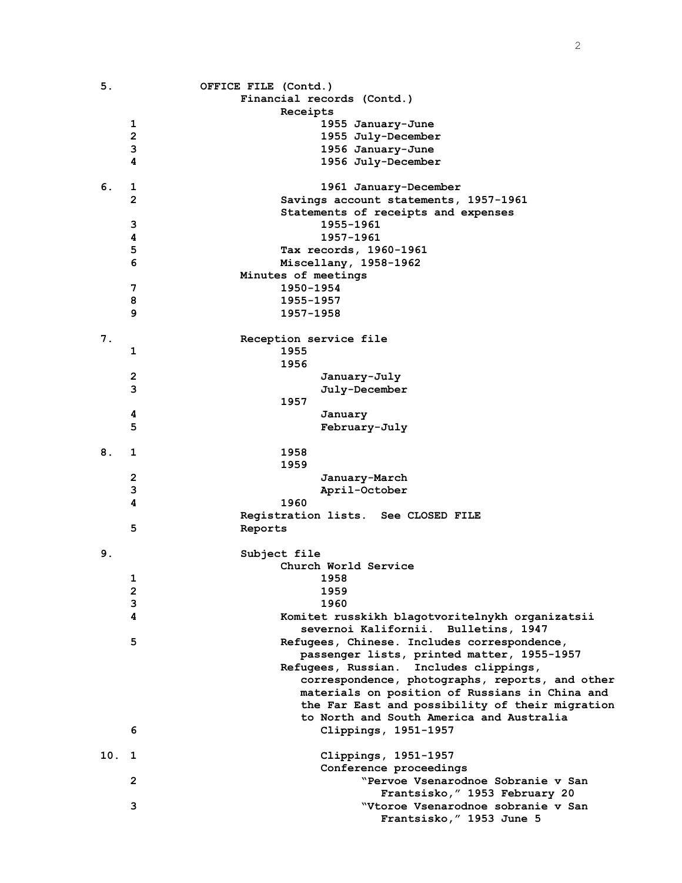| 5.  |                | OFFICE FILE (Contd.)                            |
|-----|----------------|-------------------------------------------------|
|     |                | Financial records (Contd.)                      |
|     |                | Receipts                                        |
|     | 1              | 1955 January-June                               |
|     | $\mathbf{2}$   | 1955 July-December                              |
|     | 3              | 1956 January-June                               |
|     | 4              | 1956 July-December                              |
|     |                |                                                 |
| 6.  | 1              | 1961 January-December                           |
|     | $\overline{2}$ | Savings account statements, 1957-1961           |
|     |                | Statements of receipts and expenses             |
|     | 3              | 1955-1961                                       |
|     | 4              | 1957-1961                                       |
|     | 5              | Tax records, 1960-1961                          |
|     | 6              | Miscellany, 1958-1962                           |
|     |                | Minutes of meetings                             |
|     | 7              | 1950-1954                                       |
|     | 8              | 1955-1957                                       |
|     | 9              | 1957-1958                                       |
|     |                |                                                 |
| 7.  |                | Reception service file                          |
|     | 1              | 1955                                            |
|     |                | 1956                                            |
|     | 2              | January-July                                    |
|     | 3              | July-December                                   |
|     |                | 1957                                            |
|     | 4              | January                                         |
|     | 5              | February-July                                   |
|     |                |                                                 |
| 8.  | 1              | 1958                                            |
|     |                | 1959                                            |
|     | 2              | January-March                                   |
|     | 3              | April-October                                   |
|     | 4              | 1960                                            |
|     |                | Registration lists. See CLOSED FILE             |
|     | 5              | Reports                                         |
|     |                |                                                 |
| 9.  |                | Subject file                                    |
|     |                | Church World Service                            |
|     | 1              | 1958                                            |
|     | 2              | 1959                                            |
|     | 3              | 1960                                            |
|     | 4              | Komitet russkikh blagotvoritelnykh organizatsii |
|     |                | severnoi Kalifornii. Bulletins, 1947            |
|     | 5              | Refugees, Chinese. Includes correspondence,     |
|     |                | passenger lists, printed matter, 1955-1957      |
|     |                | Refugees, Russian. Includes clippings,          |
|     |                | correspondence, photographs, reports, and other |
|     |                | materials on position of Russians in China and  |
|     |                | the Far East and possibility of their migration |
|     |                | to North and South America and Australia        |
|     | 6              | Clippings, 1951-1957                            |
|     |                |                                                 |
| 10. | 1              | Clippings, 1951-1957                            |
|     |                | Conference proceedings                          |
|     | $\mathbf{2}$   | "Pervoe Vsenarodnoe Sobranie v San              |
|     |                | Frantsisko, " 1953 February 20                  |
|     | 3              | "Vtoroe Vsenarodnoe sobranie v San              |
|     |                | Frantsisko, " 1953 June 5                       |